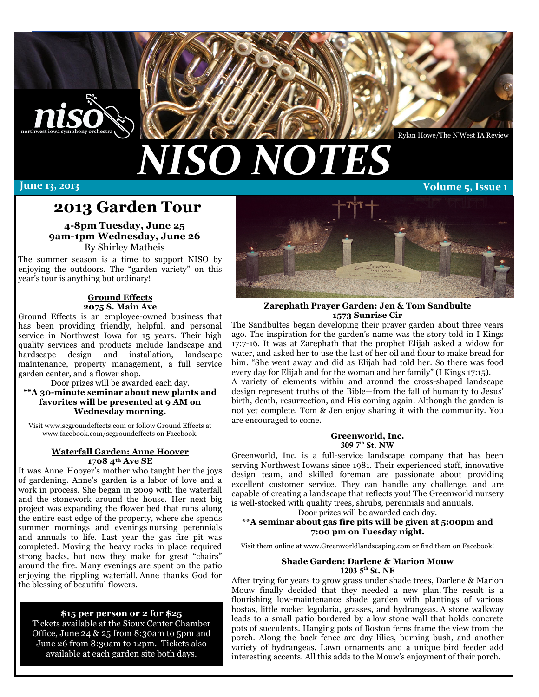

Rylan Howe/The N'West IA Review

# *NISO NOTES*

# **2013 Garden Tour**

**4-8pm Tuesday, June 25 9am-1pm Wednesday, June 26** By Shirley Matheis

The summer season is a time to support NISO by enjoying the outdoors. The "garden variety" on this year's tour is anything but ordinary!

#### **Ground Effects 2075 S. Main Ave**

Ground Effects is an employee-owned business that has been providing friendly, helpful, and personal service in Northwest Iowa for 15 years. Their high quality services and products include landscape and hardscape design and installation, landscape maintenance, property management, a full service garden center, and a flower shop.

Door prizes will be awarded each day. **\*\*A 30-minute seminar about new plants and favorites will be presented at 9 AM on Wednesday morning.**

Visit www.scgroundeffects.com or follow Ground Effects at www.facebook.com/scgroundeffects on Facebook.

#### **Waterfall Garden: Anne Hooyer 1708 4th Ave SE**

It was Anne Hooyer's mother who taught her the joys of gardening. Anne's garden is a labor of love and a work in process. She began in 2009 with the waterfall and the stonework around the house. Her next big project was expanding the flower bed that runs along the entire east edge of the property, where she spends summer mornings and evenings nursing perennials and annuals to life. Last year the gas fire pit was completed. Moving the heavy rocks in place required strong backs, but now they make for great "chairs" around the fire. Many evenings are spent on the patio enjoying the rippling waterfall. Anne thanks God for the blessing of beautiful flowers.

**\$15 per person or 2 for \$25** Tickets available at the Sioux Center Chamber Office, June 24 & 25 from 8:30am to 5pm and June 26 from 8:30am to 12pm. Tickets also available at each garden site both days.



**Zarephath Prayer Garden: Jen & Tom Sandbulte 1573 Sunrise Cir**

The Sandbultes began developing their prayer garden about three years ago. The inspiration for the garden's name was the story told in I Kings 17:7-16. It was at Zarephath that the prophet Elijah asked a widow for water, and asked her to use the last of her oil and flour to make bread for him. "She went away and did as Elijah had told her. So there was food every day for Elijah and for the woman and her family" (I Kings 17:15). A variety of elements within and around the cross-shaped landscape design represent truths of the Bible—from the fall of humanity to Jesus' birth, death, resurrection, and His coming again. Although the garden is not yet complete, Tom & Jen enjoy sharing it with the community. You are encouraged to come.

#### **Greenworld, Inc.** 309 7<sup>th</sup> St. NW

Greenworld, Inc. is a full-service landscape company that has been serving Northwest Iowans since 1981. Their experienced staff, innovative design team, and skilled foreman are passionate about providing excellent customer service. They can handle any challenge, and are capable of creating a landscape that reflects you! The Greenworld nursery is well-stocked with quality trees, shrubs, perennials and annuals.

Door prizes will be awarded each day.

#### **\*\*A seminar about gas fire pits will be given at 5:00pm and 7:00 pm on Tuesday night.**

Visit them online at www.Greenworldlandscaping.com or find them on Facebook!

#### **Shade Garden: Darlene & Marion Mouw** 1203 5<sup>th</sup> St. NE

After trying for years to grow grass under shade trees, Darlene & Marion Mouw finally decided that they needed a new plan. The result is a flourishing low-maintenance shade garden with plantings of various hostas, little rocket legularia, grasses, and hydrangeas. A stone walkway leads to a small patio bordered by a low stone wall that holds concrete pots of succulents. Hanging pots of Boston ferns frame the view from the porch. Along the back fence are day lilies, burning bush, and another variety of hydrangeas. Lawn ornaments and a unique bird feeder add interesting accents. All this adds to the Mouw's enjoyment of their porch.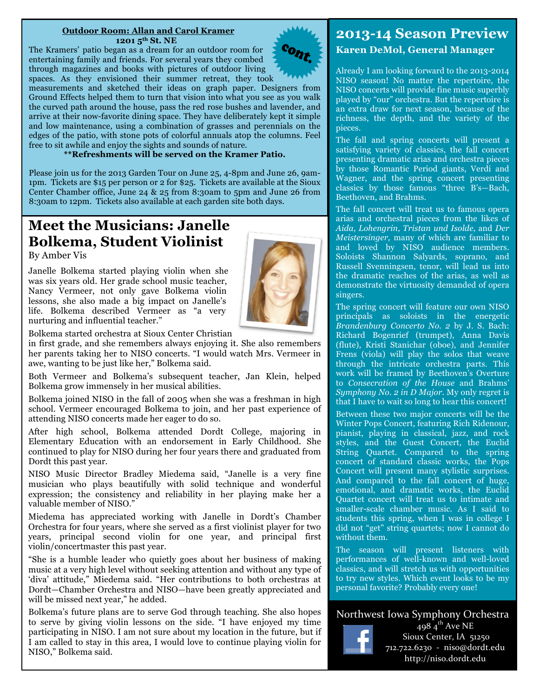#### **Outdoor Room: Allan and Carol Kramer 1201 5th St. NE**

The Kramers' patio began as a dream for an outdoor room for entertaining family and friends. For several years they combed through magazines and books with pictures of outdoor living spaces. As they envisioned their summer retreat, they took



measurements and sketched their ideas on graph paper. Designers from Ground Effects helped them to turn that vision into what you see as you walk the curved path around the house, pass the red rose bushes and lavender, and arrive at their now-favorite dining space. They have deliberately kept it simple and low maintenance, using a combination of grasses and perennials on the edges of the patio, with stone pots of colorful annuals atop the columns. Feel free to sit awhile and enjoy the sights and sounds of nature.

**\*\*Refreshments will be served on the Kramer Patio.**

Please join us for the 2013 Garden Tour on June 25, 4-8pm and June 26, 9am-1pm. Tickets are \$15 per person or 2 for \$25. Tickets are available at the Sioux Center Chamber office, June 24 & 25 from 8:30am to 5pm and June 26 from 8:30am to 12pm. Tickets also available at each garden site both days.

## **Meet the Musicians: Janelle Bolkema, Student Violinist**

By Amber Vis

Janelle Bolkema started playing violin when she was six years old. Her grade school music teacher, Nancy Vermeer, not only gave Bolkema violin lessons, she also made a big impact on Janelle's life. Bolkema described Vermeer as "a very nurturing and influential teacher."



Bolkema started orchestra at Sioux Center Christian

in first grade, and she remembers always enjoying it. She also remembers her parents taking her to NISO concerts. "I would watch Mrs. Vermeer in awe, wanting to be just like her," Bolkema said.

Both Vermeer and Bolkema's subsequent teacher, Jan Klein, helped Bolkema grow immensely in her musical abilities.

Bolkema joined NISO in the fall of 2005 when she was a freshman in high school. Vermeer encouraged Bolkema to join, and her past experience of attending NISO concerts made her eager to do so.

After high school, Bolkema attended Dordt College, majoring in Elementary Education with an endorsement in Early Childhood. She continued to play for NISO during her four years there and graduated from Dordt this past year.

NISO Music Director Bradley Miedema said, "Janelle is a very fine musician who plays beautifully with solid technique and wonderful expression; the consistency and reliability in her playing make her a valuable member of NISO."

Miedema has appreciated working with Janelle in Dordt's Chamber Orchestra for four years, where she served as a first violinist player for two years, principal second violin for one year, and principal first violin/concertmaster this past year.

"She is a humble leader who quietly goes about her business of making music at a very high level without seeking attention and without any type of 'diva' attitude," Miedema said. "Her contributions to both orchestras at Dordt—Chamber Orchestra and NISO—have been greatly appreciated and will be missed next year," he added.

Bolkema's future plans are to serve God through teaching. She also hopes to serve by giving violin lessons on the side. "I have enjoyed my time participating in NISO. I am not sure about my location in the future, but if I am called to stay in this area, I would love to continue playing violin for NISO," Bolkema said.

## **2013-14 Season Preview**

## **Karen DeMol, General Manager**

Already I am looking forward to the 2013-2014 NISO season! No matter the repertoire, the NISO concerts will provide fine music superbly played by "our" orchestra. But the repertoire is an extra draw for next season, because of the richness, the depth, and the variety of the pieces.

The fall and spring concerts will present a satisfying variety of classics, the fall concert presenting dramatic arias and orchestra pieces by those Romantic Period giants, Verdi and Wagner, and the spring concert presenting classics by those famous "three B's—Bach, Beethoven, and Brahms.

The fall concert will treat us to famous opera arias and orchestral pieces from the likes of *Aida, Lohengrin, Tristan und Isolde,* and *Der Meistersinger,* many of which are familiar to and loved by NISO audience members. Soloists Shannon Salyards, soprano, and Russell Svenningsen, tenor, will lead us into the dramatic reaches of the arias, as well as demonstrate the virtuosity demanded of opera singers.

The spring concert will feature our own NISO principals as soloists in the energetic *Brandenburg Concerto No. 2* by J. S. Bach: Richard Bogenrief (trumpet), Anna Davis (flute), Kristi Stanichar (oboe), and Jennifer Frens (viola) will play the solos that weave through the intricate orchestra parts. This work will be framed by Beethoven's Overture to *Consecration of the House* and Brahms' *Symphony No. 2 in D Major*. My only regret is that I have to wait so long to hear this concert!

Between these two major concerts will be the Winter Pops Concert, featuring Rich Ridenour, pianist, playing in classical, jazz, and rock styles, and the Guest Concert, the Euclid String Quartet. Compared to the spring concert of standard classic works, the Pops Concert will present many stylistic surprises. And compared to the fall concert of huge, emotional, and dramatic works, the Euclid Quartet concert will treat us to intimate and smaller-scale chamber music. As I said to students this spring, when I was in college I did not "get" string quartets; now I cannot do without them.

The season will present listeners with performances of well-known and well-loved classics, and will stretch us with opportunities to try new styles. Which event looks to be my personal favorite? Probably every one!

## Northwest Iowa Symphony Orchestra



 $498.4^{\text{th}}$  Ave NE Sioux Center, IA 51250 712.722.6230 ‐ niso@dordt.edu http://niso.dordt.edu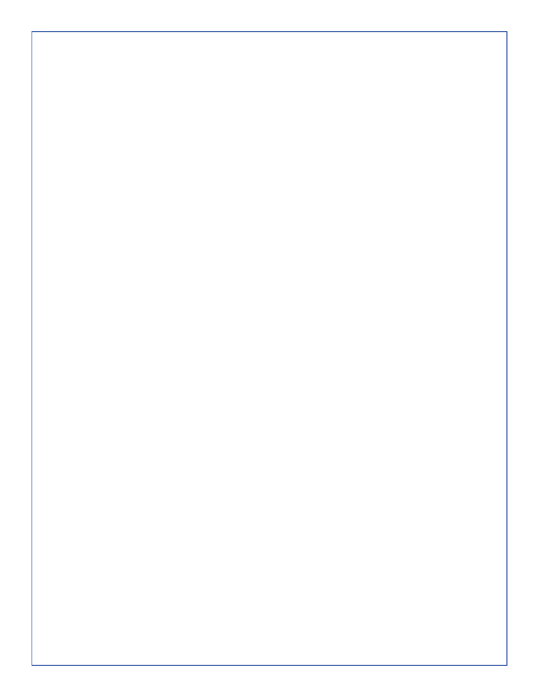